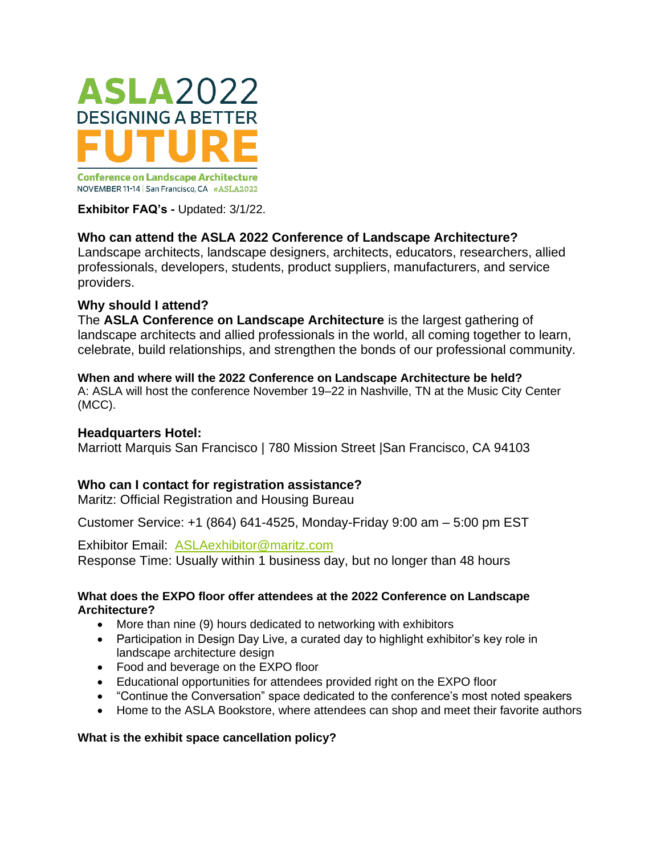

NOVEMBER 11-14 | San Francisco, CA #ASLA2022

**Exhibitor FAQ's -** Updated: 3/1/22.

# **Who can attend the ASLA 2022 Conference of Landscape Architecture?**

Landscape architects, landscape designers, architects, educators, researchers, allied professionals, developers, students, product suppliers, manufacturers, and service providers.

### **Why should I attend?**

The **ASLA Conference on Landscape Architecture** is the largest gathering of landscape architects and allied professionals in the world, all coming together to learn, celebrate, build relationships, and strengthen the bonds of our professional community.

# **When and where will the 2022 Conference on Landscape Architecture be held?**

A: ASLA will host the conference November 19–22 in Nashville, TN at the Music City Center (MCC).

### **Headquarters Hotel:**

Marriott Marquis San Francisco | 780 Mission Street |San Francisco, CA 94103

# **Who can I contact for registration assistance?**

Maritz: Official Registration and Housing Bureau

Customer Service: +1 (864) 641-4525, Monday-Friday 9:00 am – 5:00 pm EST

Exhibitor Email: [ASLAexhibitor@maritz.com](mailto:ASLAexhibitor@maritz.com) Response Time: Usually within 1 business day, but no longer than 48 hours

### **What does the EXPO floor offer attendees at the 2022 Conference on Landscape Architecture?**

- More than nine (9) hours dedicated to networking with exhibitors
- Participation in Design Day Live, a curated day to highlight exhibitor's key role in landscape architecture design
- Food and beverage on the EXPO floor
- Educational opportunities for attendees provided right on the EXPO floor
- "Continue the Conversation" space dedicated to the conference's most noted speakers
- Home to the ASLA Bookstore, where attendees can shop and meet their favorite authors

### **What is the exhibit space cancellation policy?**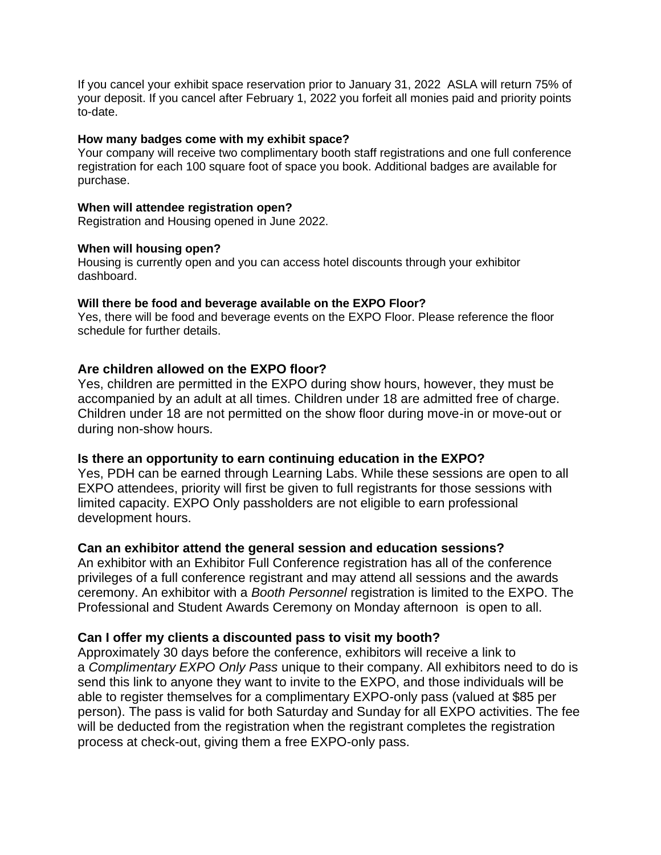If you cancel your exhibit space reservation prior to January 31, 2022 ASLA will return 75% of your deposit. If you cancel after February 1, 2022 you forfeit all monies paid and priority points to-date.

#### **How many badges come with my exhibit space?**

Your company will receive two complimentary booth staff registrations and one full conference registration for each 100 square foot of space you book. Additional badges are available for purchase.

#### **When will attendee registration open?**

Registration and Housing opened in June 2022.

#### **When will housing open?**

Housing is currently open and you can access hotel discounts through your exhibitor dashboard.

### **Will there be food and beverage available on the EXPO Floor?**

Yes, there will be food and beverage events on the EXPO Floor. Please reference the floor schedule for further details.

### **Are children allowed on the EXPO floor?**

Yes, children are permitted in the EXPO during show hours, however, they must be accompanied by an adult at all times. Children under 18 are admitted free of charge. Children under 18 are not permitted on the show floor during move-in or move-out or during non-show hours.

#### **Is there an opportunity to earn continuing education in the EXPO?**

Yes, PDH can be earned through Learning Labs. While these sessions are open to all EXPO attendees, priority will first be given to full registrants for those sessions with limited capacity. EXPO Only passholders are not eligible to earn professional development hours.

#### **Can an exhibitor attend the general session and education sessions?**

An exhibitor with an Exhibitor Full Conference registration has all of the conference privileges of a full conference registrant and may attend all sessions and the awards ceremony. An exhibitor with a *Booth Personnel* registration is limited to the EXPO. The Professional and Student Awards Ceremony on Monday afternoon is open to all.

#### **Can I offer my clients a discounted pass to visit my booth?**

Approximately 30 days before the conference, exhibitors will receive a link to a *Complimentary EXPO Only Pass* unique to their company. All exhibitors need to do is send this link to anyone they want to invite to the EXPO, and those individuals will be able to register themselves for a complimentary EXPO-only pass (valued at \$85 per person). The pass is valid for both Saturday and Sunday for all EXPO activities. The fee will be deducted from the registration when the registrant completes the registration process at check-out, giving them a free EXPO-only pass.